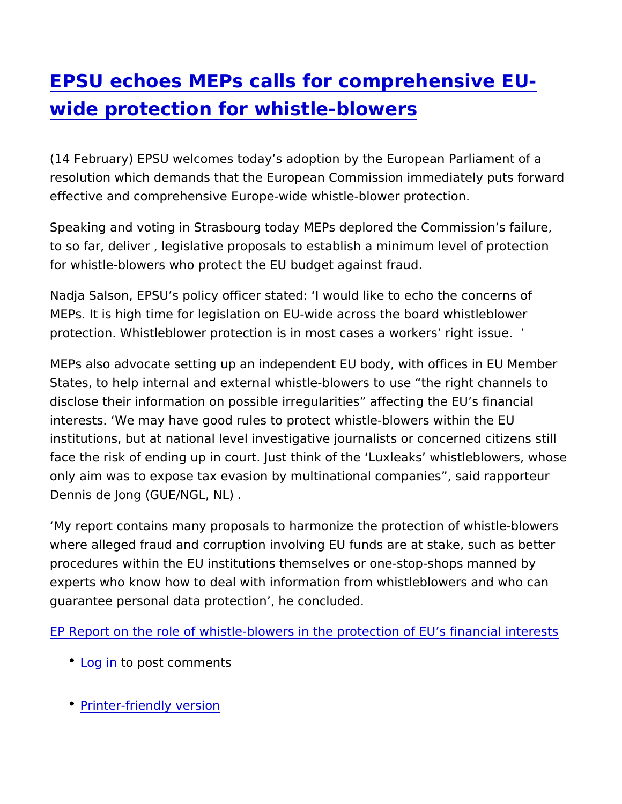## [EPSU echoes MEPs calls for compreh](https://www.epsu.org/article/epsu-echoes-meps-calls-comprehensive-eu-wide-protection-whistle-blowers)ensive [wide protection for whistle-b](https://www.epsu.org/article/epsu-echoes-meps-calls-comprehensive-eu-wide-protection-whistle-blowers)lowers

(14 February) EPSU welcomes today s adoption by the European F resolution which demands that the European Commission immedia effective and comprehensive Europe-wide whistle-blower protection

Speaking and voting in Strasbourg today MEPs deplored the Comn to so far, deliver, legislative proposals to establish a minimum I for whistle-blowers who protect the EU budget against fraud.

Nadja Salson, EPSU s policy officer stated: I would like to echo MEPs. It is high time for legislation on EU-wide across the board protection. Whistleblower protection is in most cases a workers

MEPs also advocate setting up an independent EU body, with offic States, to help internal and external whistle-blowers to use the rightal disclose their information on possible irregularities affecting the interests. We may have good rules to protect whistle-blowers wit institutions, but at national level investigative journalists or cond face the risk of ending up in court. Just think of the Luxleaks w only aim was to expose tax evasion by multinational companies , Dennis de Jong (GUE/NGL, NL) .

My report contains many proposals to harmonize the protection o where alleged fraud and corruption involving EU funds are at stak procedures within the EU institutions themselves or one-stop-sho experts who know how to deal with information from whistleblower guarantee personal data protection , he concluded.

[EP Report on the role of whistle-blowers in the protection](http://www.europarl.europa.eu/sides/getDoc.do?type=REPORT&reference=A8-2017-0004&format=XML&language=EN) of EU s

- [Log](https://www.epsu.org/user/login?destination=/article/epsu-echoes-meps-calls-comprehensive-eu-wide-protection-whistle-blowers#comment-form) ino post comments
- [Printer-friendly](https://www.epsu.org/entityprint/pdf/node/9875) version